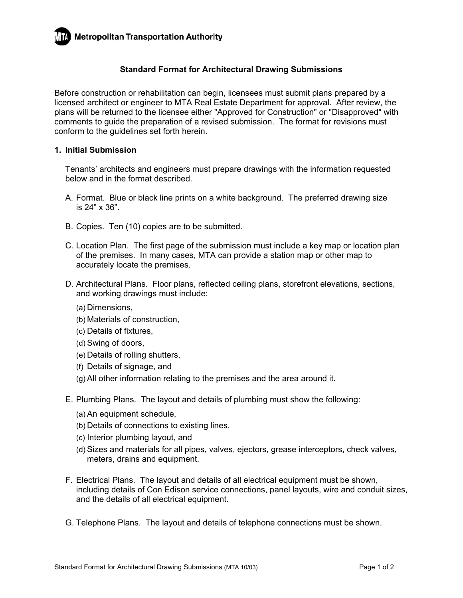## **Standard Format for Architectural Drawing Submissions**

Before construction or rehabilitation can begin, licensees must submit plans prepared by a licensed architect or engineer to MTA Real Estate Department for approval. After review, the plans will be returned to the licensee either "Approved for Construction" or "Disapproved" with comments to guide the preparation of a revised submission. The format for revisions must conform to the guidelines set forth herein.

## **1. Initial Submission**

Tenants' architects and engineers must prepare drawings with the information requested below and in the format described.

- A. Format. Blue or black line prints on a white background. The preferred drawing size is 24" x 36".
- B. Copies. Ten (10) copies are to be submitted.
- C. Location Plan. The first page of the submission must include a key map or location plan of the premises. In many cases, MTA can provide a station map or other map to accurately locate the premises.
- D. Architectural Plans. Floor plans, reflected ceiling plans, storefront elevations, sections, and working drawings must include:
	- (a) Dimensions,
	- (b) Materials of construction,
	- (c) Details of fixtures,
	- (d) Swing of doors,
	- (e) Details of rolling shutters,
	- (f) Details of signage, and
	- (g) All other information relating to the premises and the area around it.
- E. Plumbing Plans. The layout and details of plumbing must show the following:
	- (a) An equipment schedule,
	- (b) Details of connections to existing lines,
	- (c) Interior plumbing layout, and
	- (d) Sizes and materials for all pipes, valves, ejectors, grease interceptors, check valves, meters, drains and equipment.
- F. Electrical Plans. The layout and details of all electrical equipment must be shown, including details of Con Edison service connections, panel layouts, wire and conduit sizes, and the details of all electrical equipment.
- G. Telephone Plans. The layout and details of telephone connections must be shown.